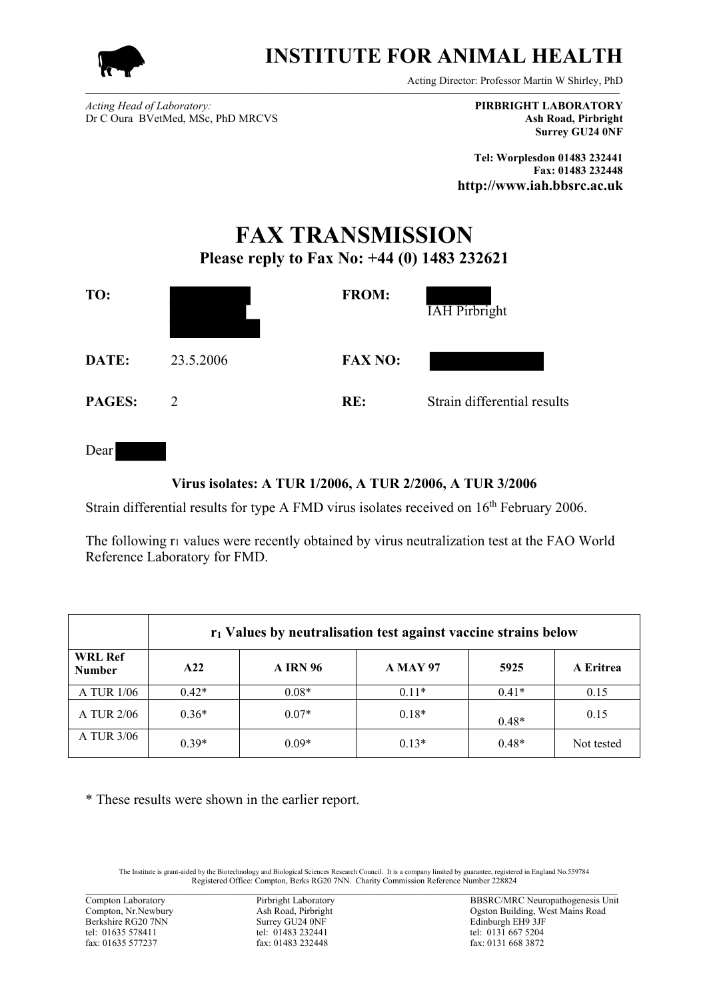

## **INSTITUTE FOR ANIMAL HEALTH**

Acting Director: Professor Martin W Shirley, PhD

*Acting Head of Laboratory:* **PIRBRIGHT LABORATORY** Dr C Oura BVetMed, MSc, PhD MRCVS **Ash Road, Pirbright**

**Surrey GU24 0NF**

**Tel: Worplesdon 01483 232441 Fax: 01483 232448 http://www.iah.bbsrc.ac.uk**

## **FAX TRANSMISSION Please reply to Fax No: +44 (0) 1483 232621**



Dear

## **Virus isolates: A TUR 1/2006, A TUR 2/2006, A TUR 3/2006**

Strain differential results for type A FMD virus isolates received on 16<sup>th</sup> February 2006.

The following r<sub>1</sub> values were recently obtained by virus neutralization test at the FAO World Reference Laboratory for FMD.

|                                 | r <sub>1</sub> Values by neutralisation test against vaccine strains below |                 |                 |         |            |
|---------------------------------|----------------------------------------------------------------------------|-----------------|-----------------|---------|------------|
| <b>WRL Ref</b><br><b>Number</b> | A22                                                                        | <b>A IRN 96</b> | <b>A MAY 97</b> | 5925    | A Eritrea  |
| A TUR 1/06                      | $0.42*$                                                                    | $0.08*$         | $0.11*$         | $0.41*$ | 0.15       |
| A TUR 2/06                      | $0.36*$                                                                    | $0.07*$         | $0.18*$         | $0.48*$ | 0.15       |
| A TUR 3/06                      | $0.39*$                                                                    | $0.09*$         | $0.13*$         | $0.48*$ | Not tested |

\* These results were shown in the earlier report.

The Institute is grant-aided by the Biotechnology and Biological Sciences Research Council. It is a company limited by guarantee, registered in England No.559784<br>Registered Office: Compton, Berks RG20 7NN. Charity Commiss  $\_$  , and the state of the state of the state of the state of the state of the state of the state of the state of the state of the state of the state of the state of the state of the state of the state of the state of the

fax: 01483 232448

Compton Laboratory Pirbright Laboratory Pirbright Laboratory BBSRC/MRC Neuropathogenesis Unit<br>
Compton, Nr.Newbury Ash Road, Pirbright (Pirbright (Passence) Ash Road (Pirbright (Passence) Constant (Passence) Ash Road (Pirb Compton, Nr.Newbury Ash Road, Pirbright Ogston Building, West Mains Road<br>Berkshire RG20 7NN Surrey GU24 0NF Edinburgh EH9 3JF